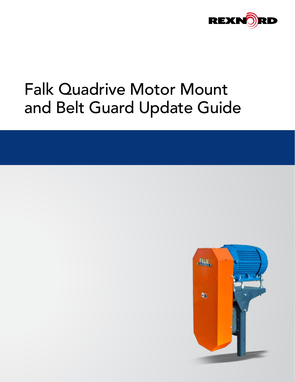

# Falk Quadrive Motor Mount and Belt Guard Update Guide

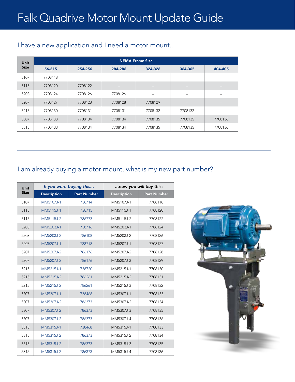| <b>Unit</b> | <b>NEMA Frame Size</b> |         |                          |                   |                 |         |  |
|-------------|------------------------|---------|--------------------------|-------------------|-----------------|---------|--|
| <b>Size</b> | 56-215                 | 254-256 | 284-286                  | 324-326           | 364-365         | 404-405 |  |
| 5107        | 7708118                | -       | $\overline{\phantom{0}}$ |                   | -               |         |  |
| 5115        | 7708120                | 7708122 | $\overline{\phantom{m}}$ | $\qquad \qquad -$ | $\qquad \qquad$ |         |  |
| 5203        | 7708124                | 7708126 | 7708126                  | -                 | -               |         |  |
| 5207        | 7708127                | 7708128 | 7708128                  | 7708129           | -               | -       |  |
| 5215        | 7708130                | 7708131 | 7708131                  | 7708132           | 7708132         |         |  |
| 5307        | 7708133                | 7708134 | 7708134                  | 7708135           | 7708135         | 7708136 |  |
| 5315        | 7708133                | 7708134 | 7708134                  | 7708135           | 7708135         | 7708136 |  |

## I have a new application and I need a motor mount...

## I am already buying a motor mount, what is my new part number?

| Unit        | If you were buying this |             | now you will buy this: |                    |  |
|-------------|-------------------------|-------------|------------------------|--------------------|--|
| <b>Size</b> | <b>Description</b>      | Part Number | <b>Description</b>     | <b>Part Number</b> |  |
| 5107        | MM5107J-1               | 738714      | MM5107J-1              | 7708118            |  |
| 5115        | MM5115J-1               | 738715      | MM5115J-1              | 7708120            |  |
| 5115        | MM5115J-2               | 786773      | MM5115J-2              | 7708122            |  |
| 5203        | MM5203J-1               | 738716      | MM5203J-1              | 7708124            |  |
| 5203        | MM5203J-2               | 786108      | MM5203J-2              | 7708126            |  |
| 5207        | MM5207J-1               | 738718      | MM5207J-1              | 7708127            |  |
| 5207        | MM5207J-2               | 786176      | MM5207J-2              | 7708128            |  |
| 5207        | MM5207J-2               | 786176      | MM5207J-3              | 7708129            |  |
| 5215        | MM5215J-1               | 738720      | MM5215J-1              | 7708130            |  |
| 5215        | MM5215J-2               | 786261      | MM5215J-2              | 7708131            |  |
| 5215        | MM5215J-2               | 786261      | MM5215J-3              | 7708132            |  |
| 5307        | MM5307J-1               | 738468      | MM5307J-1              | 7708133            |  |
| 5307        | MM5307J-2               | 786373      | MM5307J-2              | 7708134            |  |
| 5307        | MM5307J-2               | 786373      | MM5307J-3              | 7708135            |  |
| 5307        | MM5307J-2               | 786373      | MM5307J-4              | 7708136            |  |
| 5315        | MM5315J-1               | 738468      | MM5315J-1              | 7708133            |  |
| 5315        | MM5315J-2               | 786373      | MM5315J-2              | 7708134            |  |
| 5315        | MM5315J-2               | 786373      | MM5315J-3              | 7708135            |  |
| 5315        | MM5315J-2               | 786373      | MM5315J-4              | 7708136            |  |

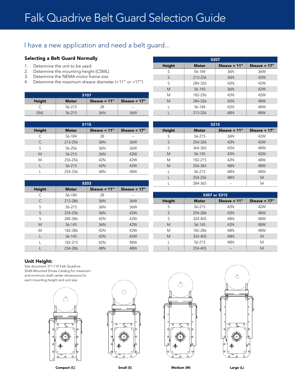## I have a new application and need a belt guard...

#### Selecting a Belt Guard Normally

- 1. Determine the unit to be used
- 2. Determine the mounting height (CSML)
- 3. Determine the NEMA motor frame size
- 4. Determine the maximum sheave diameter (<11" or <17")

| 5107       |              |                |                          |  |  |  |
|------------|--------------|----------------|--------------------------|--|--|--|
| Height     | <b>Motor</b> | Sheave $< 11"$ | Sheave $< 17"$           |  |  |  |
|            | 56-215       | 28             | $\overline{\phantom{a}}$ |  |  |  |
| <b>SML</b> | 56-215       | 36N            | 36W                      |  |  |  |

| 5115   |              |                |                |  |  |
|--------|--------------|----------------|----------------|--|--|
| Height | <b>Motor</b> | Sheave $< 11"$ | Sheave $< 17"$ |  |  |
| C      | 56-184       | 28             |                |  |  |
| C      | 213-256      | 36N            | 36W            |  |  |
| S      | 56-256       | 36N            | 36W            |  |  |
| M      | 56-215       | 36N            | 42W            |  |  |
| M      | 254-256      | 42N            | 42W            |  |  |
|        | 56-215       | 42N            | 42W            |  |  |
|        | 254-256      | 48N            | 48W            |  |  |

| 5203          |              |                |                |  |  |
|---------------|--------------|----------------|----------------|--|--|
| <b>Height</b> | <b>Motor</b> | Sheave $< 11"$ | Sheave $< 17"$ |  |  |
| C             | 56-184       | 28             |                |  |  |
| С             | 213-286      | 36N            | 36W            |  |  |
| S             | 56-215       | 36N            | 36W            |  |  |
| S             | 254-256      | 36N            | 42W            |  |  |
| S             | 284-286      | 42N            | 42W            |  |  |
| M             | 56-145       | 36N            | 42W            |  |  |
| M             | 182-286      | 42N            | 42W            |  |  |
|               | 56-145       | 42N            | 42W            |  |  |
|               | 182-215      | 42N            | 48W            |  |  |
|               | 254-286      | 48N            | 48W            |  |  |

| 5207   |              |                 |                |  |  |
|--------|--------------|-----------------|----------------|--|--|
| Height | <b>Motor</b> | Sheave $< 11$ " | Sheave $< 17"$ |  |  |
| S      | 56-184       | 36N             | 36W            |  |  |
| S      | 213-256      | 36N             | 42W            |  |  |
| S      | 284-326      | 42N             | 42W            |  |  |
| M      | 56-145       | 36N             | 42W            |  |  |
| M      | 182-256      | 42N             | 42W            |  |  |
| M      | 284-326      | 42N             | 48W            |  |  |
|        | 56-184       | 42N             | 48W            |  |  |
|        | 213-326      | 48N             | 48W            |  |  |

| 5215   |              |                 |                |  |  |
|--------|--------------|-----------------|----------------|--|--|
| Height | <b>Motor</b> | Sheave $< 11$ " | Sheave $< 17"$ |  |  |
| S      | 56-215       | 36N             | 42W            |  |  |
| S      | 254-326      | 42N             | 42W            |  |  |
| S      | 364-365      | 42N             | 48W            |  |  |
| M      | 56-145       | 42N             | 42W            |  |  |
| Μ      | 182-215      | 42N             | 48W            |  |  |
| M      | 254-365      | 48N             | 48W            |  |  |
|        | 56-215       | 48N             | 48W            |  |  |
|        | 254-256      | 48N             | 54             |  |  |
|        | 284-365      |                 | 54             |  |  |

| 5307 or 5315 |              |                |                |  |  |
|--------------|--------------|----------------|----------------|--|--|
| Height       | <b>Motor</b> | Sheave $< 11"$ | Sheave $< 17"$ |  |  |
| S            | 56-215       | 42N            | 42W            |  |  |
| S            | 254-286      | 42N            | 48W            |  |  |
| S            | 324-405      | 48N            | 48W            |  |  |
| M            | 56-145       | 42N            | 48W            |  |  |
| M            | 182-286      | 48N            | 48W            |  |  |
| M            | 324-405      | 48N            | 54             |  |  |
|              | 56-215       | 48N            | 54             |  |  |
|              | 254-405      |                | 54             |  |  |

#### Unit Height:

See document [371-110 Falk Quadrive](http://www.rexnord.com/ContentItems/TechLibrary/Documents/377-115_Manual)  [Shaft-Mounted Drives Catalog](http://www.rexnord.com/ContentItems/TechLibrary/Documents/377-115_Manual) for maximum and minimum shaft center dimensions for each mounting height and unit size.



Compact (C) **Small (S)** Small (S) **Medium (M)** Large (L) Large (L)